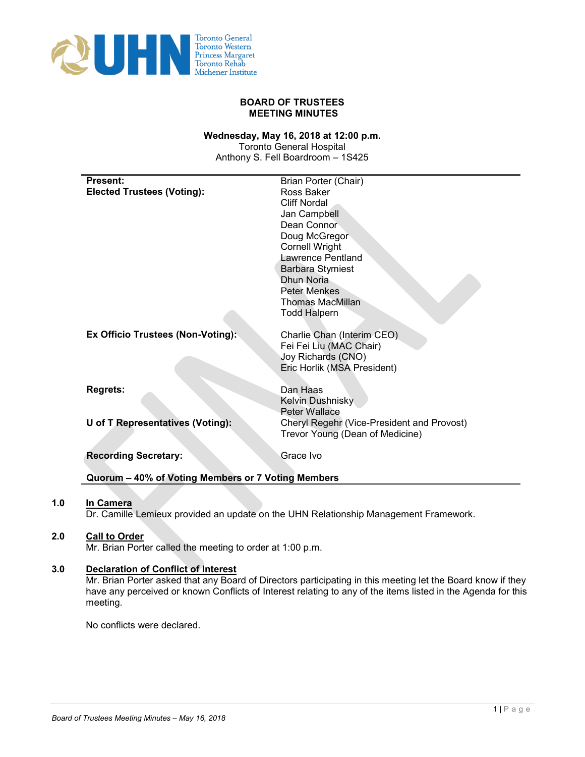

#### **BOARD OF TRUSTEES MEETING MINUTES**

#### **Wednesday, May 16, 2018 at 12:00 p.m.**

Toronto General Hospital Anthony S. Fell Boardroom – 1S425

| <b>Present:</b>                                    | Brian Porter (Chair)                                                          |
|----------------------------------------------------|-------------------------------------------------------------------------------|
| <b>Elected Trustees (Voting):</b>                  | Ross Baker                                                                    |
|                                                    | <b>Cliff Nordal</b>                                                           |
|                                                    | Jan Campbell                                                                  |
|                                                    | Dean Connor                                                                   |
|                                                    | Doug McGregor                                                                 |
|                                                    | <b>Cornell Wright</b>                                                         |
|                                                    | Lawrence Pentland                                                             |
|                                                    | <b>Barbara Stymiest</b>                                                       |
|                                                    | Dhun Noria                                                                    |
|                                                    | <b>Peter Menkes</b>                                                           |
|                                                    | <b>Thomas MacMillan</b>                                                       |
|                                                    | <b>Todd Halpern</b>                                                           |
|                                                    |                                                                               |
| Ex Officio Trustees (Non-Voting):                  | Charlie Chan (Interim CEO)                                                    |
|                                                    | Fei Fei Liu (MAC Chair)                                                       |
|                                                    | Joy Richards (CNO)                                                            |
|                                                    | Eric Horlik (MSA President)                                                   |
|                                                    |                                                                               |
| <b>Regrets:</b>                                    | Dan Haas                                                                      |
|                                                    | Kelvin Dushnisky<br><b>Peter Wallace</b>                                      |
| U of T Representatives (Voting):                   |                                                                               |
|                                                    | Cheryl Regehr (Vice-President and Provost)<br>Trevor Young (Dean of Medicine) |
|                                                    |                                                                               |
| <b>Recording Secretary:</b>                        | Grace Ivo                                                                     |
|                                                    |                                                                               |
| Quorum - 40% of Voting Members or 7 Voting Members |                                                                               |

#### **1.0 In Camera**

Dr. Camille Lemieux provided an update on the UHN Relationship Management Framework.

# **2.0 Call to Order**

Mr. Brian Porter called the meeting to order at 1:00 p.m.

#### **3.0 Declaration of Conflict of Interest**

Mr. Brian Porter asked that any Board of Directors participating in this meeting let the Board know if they have any perceived or known Conflicts of Interest relating to any of the items listed in the Agenda for this meeting.

No conflicts were declared.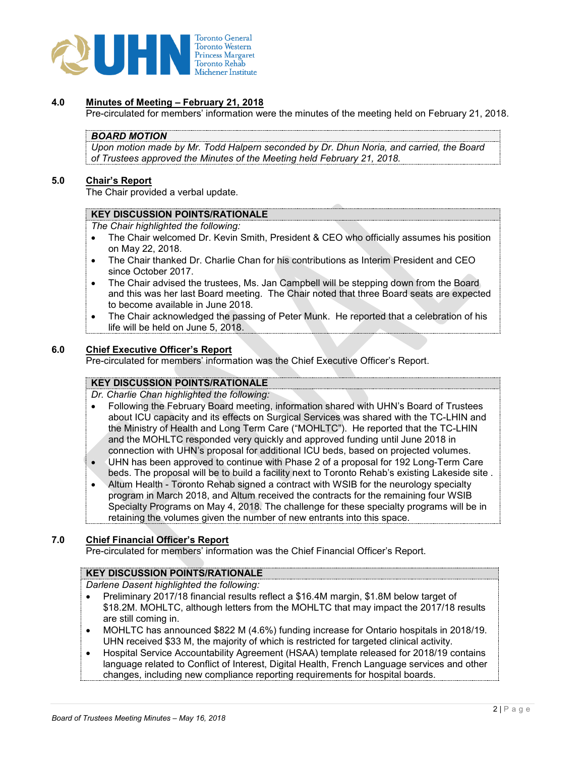

#### **4.0 Minutes of Meeting – February 21, 2018**

Pre-circulated for members' information were the minutes of the meeting held on February 21, 2018.

#### *BOARD MOTION*

*Upon motion made by Mr. Todd Halpern seconded by Dr. Dhun Noria, and carried, the Board of Trustees approved the Minutes of the Meeting held February 21, 2018.*

## **5.0 Chair's Report**

The Chair provided a verbal update.

#### **KEY DISCUSSION POINTS/RATIONALE**

*The Chair highlighted the following:* 

- The Chair welcomed Dr. Kevin Smith, President & CEO who officially assumes his position on May 22, 2018.
- The Chair thanked Dr. Charlie Chan for his contributions as Interim President and CEO since October 2017.
- The Chair advised the trustees, Ms. Jan Campbell will be stepping down from the Board and this was her last Board meeting. The Chair noted that three Board seats are expected to become available in June 2018.
- The Chair acknowledged the passing of Peter Munk. He reported that a celebration of his life will be held on June 5, 2018.

#### **6.0 Chief Executive Officer's Report**

Pre-circulated for members' information was the Chief Executive Officer's Report.

# **KEY DISCUSSION POINTS/RATIONALE**

*Dr. Charlie Chan highlighted the following:* 

- Following the February Board meeting, information shared with UHN's Board of Trustees about ICU capacity and its effects on Surgical Services was shared with the TC-LHIN and the Ministry of Health and Long Term Care ("MOHLTC"). He reported that the TC-LHIN and the MOHLTC responded very quickly and approved funding until June 2018 in connection with UHN's proposal for additional ICU beds, based on projected volumes.
- UHN has been approved to continue with Phase 2 of a proposal for 192 Long-Term Care beds. The proposal will be to build a facility next to Toronto Rehab's existing Lakeside site .
- Altum Health Toronto Rehab signed a contract with WSIB for the neurology specialty program in March 2018, and Altum received the contracts for the remaining four WSIB Specialty Programs on May 4, 2018. The challenge for these specialty programs will be in retaining the volumes given the number of new entrants into this space.

# **7.0 Chief Financial Officer's Report**

Pre-circulated for members' information was the Chief Financial Officer's Report.

#### **KEY DISCUSSION POINTS/RATIONALE**

*Darlene Dasent highlighted the following:* 

- Preliminary 2017/18 financial results reflect a \$16.4M margin, \$1.8M below target of \$18.2M. MOHLTC, although letters from the MOHLTC that may impact the 2017/18 results are still coming in.
- MOHLTC has announced \$822 M (4.6%) funding increase for Ontario hospitals in 2018/19. UHN received \$33 M, the majority of which is restricted for targeted clinical activity.
- Hospital Service Accountability Agreement (HSAA) template released for 2018/19 contains language related to Conflict of Interest, Digital Health, French Language services and other changes, including new compliance reporting requirements for hospital boards.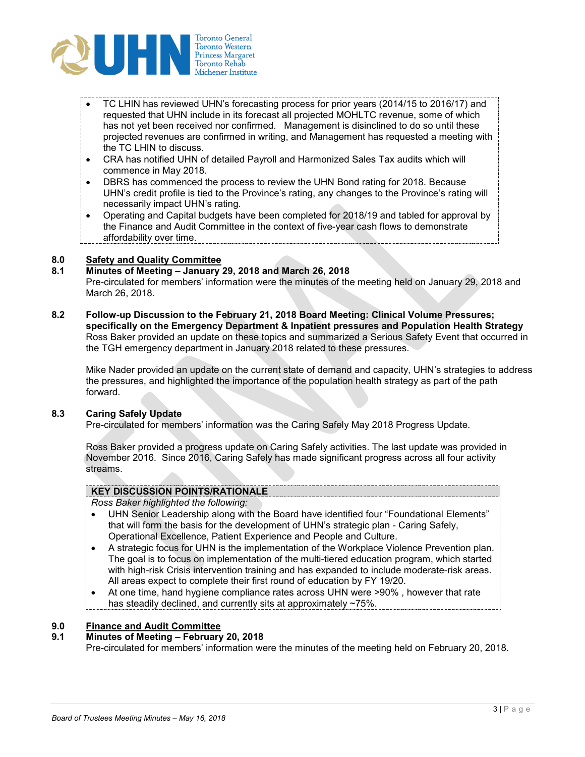

- TC LHIN has reviewed UHN's forecasting process for prior years (2014/15 to 2016/17) and requested that UHN include in its forecast all projected MOHLTC revenue, some of which has not yet been received nor confirmed. Management is disinclined to do so until these projected revenues are confirmed in writing, and Management has requested a meeting with the TC LHIN to discuss.
- CRA has notified UHN of detailed Payroll and Harmonized Sales Tax audits which will commence in May 2018.
- DBRS has commenced the process to review the UHN Bond rating for 2018. Because UHN's credit profile is tied to the Province's rating, any changes to the Province's rating will necessarily impact UHN's rating.
- Operating and Capital budgets have been completed for 2018/19 and tabled for approval by the Finance and Audit Committee in the context of five-year cash flows to demonstrate affordability over time.

#### **8.0 Safety and Quality Committee**

#### **8.1 Minutes of Meeting – January 29, 2018 and March 26, 2018**

Pre-circulated for members' information were the minutes of the meeting held on January 29, 2018 and March 26, 2018.

**8.2 Follow-up Discussion to the February 21, 2018 Board Meeting: Clinical Volume Pressures; specifically on the Emergency Department & Inpatient pressures and Population Health Strategy** Ross Baker provided an update on these topics and summarized a Serious Safety Event that occurred in the TGH emergency department in January 2018 related to these pressures.

Mike Nader provided an update on the current state of demand and capacity, UHN's strategies to address the pressures, and highlighted the importance of the population health strategy as part of the path forward.

#### **8.3 Caring Safely Update**

Pre-circulated for members' information was the Caring Safely May 2018 Progress Update.

Ross Baker provided a progress update on Caring Safely activities. The last update was provided in November 2016. Since 2016, Caring Safely has made significant progress across all four activity streams.

# **KEY DISCUSSION POINTS/RATIONALE**

*Ross Baker highlighted the following:* 

- UHN Senior Leadership along with the Board have identified four "Foundational Elements" that will form the basis for the development of UHN's strategic plan - Caring Safely, Operational Excellence, Patient Experience and People and Culture.
- A strategic focus for UHN is the implementation of the Workplace Violence Prevention plan. The goal is to focus on implementation of the multi-tiered education program, which started with high-risk Crisis intervention training and has expanded to include moderate-risk areas. All areas expect to complete their first round of education by FY 19/20.
- At one time, hand hygiene compliance rates across UHN were >90% , however that rate has steadily declined, and currently sits at approximately ~75%.

# **9.0 Finance and Audit Committee**

# **9.1 Minutes of Meeting – February 20, 2018**

Pre-circulated for members' information were the minutes of the meeting held on February 20, 2018.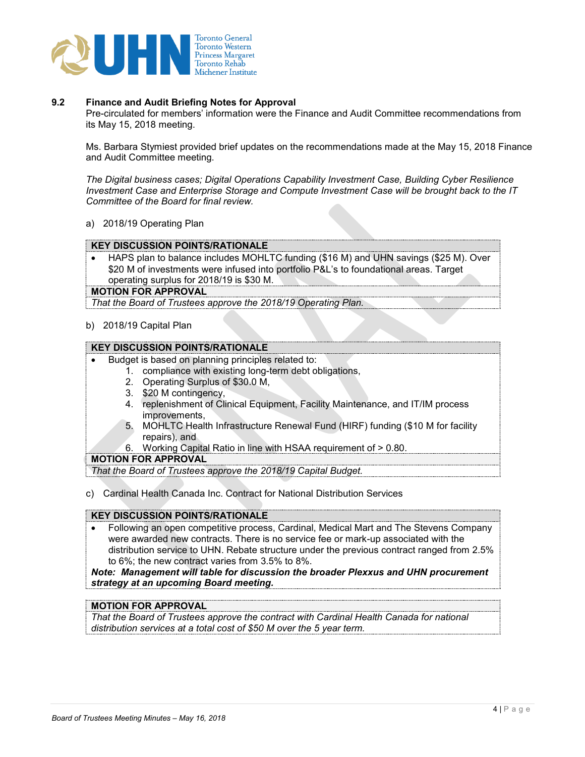

## **9.2 Finance and Audit Briefing Notes for Approval**

Pre-circulated for members' information were the Finance and Audit Committee recommendations from its May 15, 2018 meeting.

Ms. Barbara Stymiest provided brief updates on the recommendations made at the May 15, 2018 Finance and Audit Committee meeting.

*The Digital business cases; Digital Operations Capability Investment Case, Building Cyber Resilience Investment Case and Enterprise Storage and Compute Investment Case will be brought back to the IT Committee of the Board for final review.*

a) 2018/19 Operating Plan

#### **KEY DISCUSSION POINTS/RATIONALE**

• HAPS plan to balance includes MOHLTC funding (\$16 M) and UHN savings (\$25 M). Over \$20 M of investments were infused into portfolio P&L's to foundational areas. Target operating surplus for 2018/19 is \$30 M.

#### **MOTION FOR APPROVAL**

*That the Board of Trustees approve the 2018/19 Operating Plan.*

#### b) 2018/19 Capital Plan

# **KEY DISCUSSION POINTS/RATIONALE**

- Budget is based on planning principles related to:
	- 1. compliance with existing long-term debt obligations,
		- 2. Operating Surplus of \$30.0 M,
		- 3. \$20 M contingency,
		- 4. replenishment of Clinical Equipment, Facility Maintenance, and IT/IM process improvements,
		- 5. MOHLTC Health Infrastructure Renewal Fund (HIRF) funding (\$10 M for facility repairs), and
	- 6. Working Capital Ratio in line with HSAA requirement of > 0.80.

#### **MOTION FOR APPROVAL**

*That the Board of Trustees approve the 2018/19 Capital Budget.*

c) Cardinal Health Canada Inc. Contract for National Distribution Services

#### **KEY DISCUSSION POINTS/RATIONALE**

• Following an open competitive process, Cardinal, Medical Mart and The Stevens Company were awarded new contracts. There is no service fee or mark-up associated with the distribution service to UHN. Rebate structure under the previous contract ranged from 2.5% to 6%; the new contract varies from 3.5% to 8%.

*Note: Management will table for discussion the broader Plexxus and UHN procurement strategy at an upcoming Board meeting.*

#### **MOTION FOR APPROVAL**

*That the Board of Trustees approve the contract with Cardinal Health Canada for national distribution services at a total cost of \$50 M over the 5 year term.*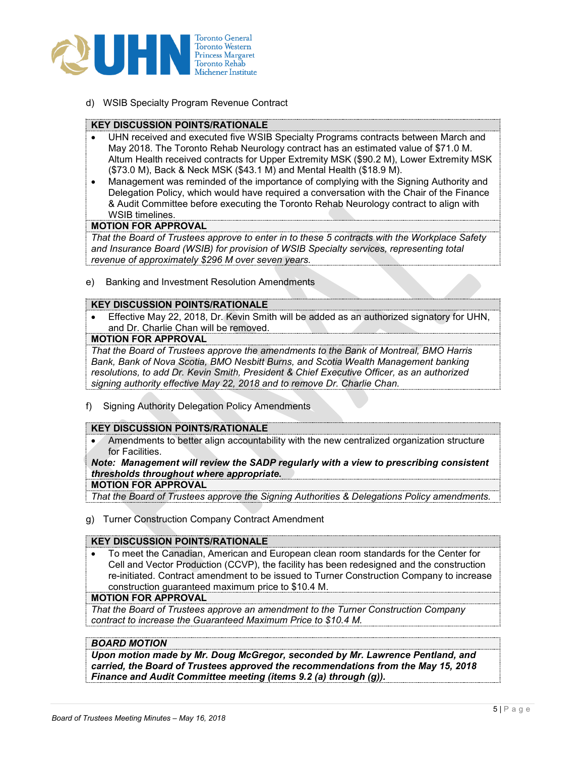

d) WSIB Specialty Program Revenue Contract

#### **KEY DISCUSSION POINTS/RATIONALE**

- UHN received and executed five WSIB Specialty Programs contracts between March and May 2018. The Toronto Rehab Neurology contract has an estimated value of \$71.0 M. Altum Health received contracts for Upper Extremity MSK (\$90.2 M), Lower Extremity MSK (\$73.0 M), Back & Neck MSK (\$43.1 M) and Mental Health (\$18.9 M).
- Management was reminded of the importance of complying with the Signing Authority and Delegation Policy, which would have required a conversation with the Chair of the Finance & Audit Committee before executing the Toronto Rehab Neurology contract to align with WSIB timelines.

#### **MOTION FOR APPROVAL**

*That the Board of Trustees approve to enter in to these 5 contracts with the Workplace Safety and Insurance Board (WSIB) for provision of WSIB Specialty services, representing total revenue of approximately \$296 M over seven years.*

e) Banking and Investment Resolution Amendments

#### **KEY DISCUSSION POINTS/RATIONALE**

• Effective May 22, 2018, Dr. Kevin Smith will be added as an authorized signatory for UHN, and Dr. Charlie Chan will be removed.

#### **MOTION FOR APPROVAL**

*That the Board of Trustees approve the amendments to the Bank of Montreal, BMO Harris Bank, Bank of Nova Scotia, BMO Nesbitt Burns, and Scotia Wealth Management banking resolutions, to add Dr. Kevin Smith, President & Chief Executive Officer, as an authorized signing authority effective May 22, 2018 and to remove Dr. Charlie Chan.*

f) Signing Authority Delegation Policy Amendments

#### **KEY DISCUSSION POINTS/RATIONALE**

• Amendments to better align accountability with the new centralized organization structure for Facilities.

*Note: Management will review the SADP regularly with a view to prescribing consistent thresholds throughout where appropriate.*

#### **MOTION FOR APPROVAL**

*That the Board of Trustees approve the Signing Authorities & Delegations Policy amendments.*

g) Turner Construction Company Contract Amendment

#### **KEY DISCUSSION POINTS/RATIONALE**

• To meet the Canadian, American and European clean room standards for the Center for Cell and Vector Production (CCVP), the facility has been redesigned and the construction re-initiated. Contract amendment to be issued to Turner Construction Company to increase construction guaranteed maximum price to \$10.4 M.

#### **MOTION FOR APPROVAL**

*That the Board of Trustees approve an amendment to the Turner Construction Company contract to increase the Guaranteed Maximum Price to \$10.4 M.*

#### *BOARD MOTION*

*Upon motion made by Mr. Doug McGregor, seconded by Mr. Lawrence Pentland, and carried, the Board of Trustees approved the recommendations from the May 15, 2018 Finance and Audit Committee meeting (items 9.2 (a) through (g)).*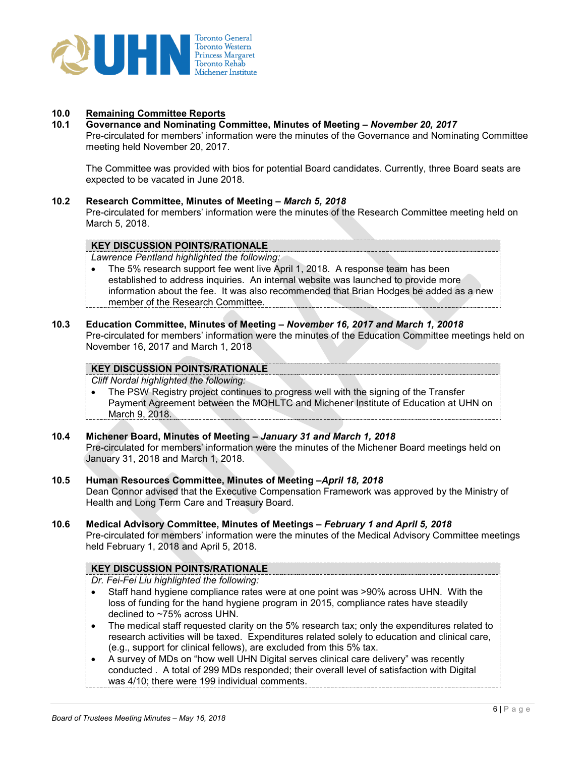

# **10.0 Remaining Committee Reports**

#### **10.1 Governance and Nominating Committee, Minutes of Meeting –** *November 20, 2017*

Pre-circulated for members' information were the minutes of the Governance and Nominating Committee meeting held November 20, 2017.

The Committee was provided with bios for potential Board candidates. Currently, three Board seats are expected to be vacated in June 2018.

#### **10.2 Research Committee, Minutes of Meeting –** *March 5, 2018*

Pre-circulated for members' information were the minutes of the Research Committee meeting held on March 5, 2018.

#### **KEY DISCUSSION POINTS/RATIONALE**

*Lawrence Pentland highlighted the following:* 

• The 5% research support fee went live April 1, 2018. A response team has been established to address inquiries. An internal website was launched to provide more information about the fee. It was also recommended that Brian Hodges be added as a new member of the Research Committee.

#### **10.3 Education Committee, Minutes of Meeting –** *November 16, 2017 and March 1, 20018* Pre-circulated for members' information were the minutes of the Education Committee meetings held on November 16, 2017 and March 1, 2018

# **KEY DISCUSSION POINTS/RATIONALE**

*Cliff Nordal highlighted the following:* 

• The PSW Registry project continues to progress well with the signing of the Transfer Payment Agreement between the MOHLTC and Michener Institute of Education at UHN on March 9, 2018.

## **10.4 Michener Board, Minutes of Meeting –** *January 31 and March 1, 2018*

Pre-circulated for members' information were the minutes of the Michener Board meetings held on January 31, 2018 and March 1, 2018.

- **10.5 Human Resources Committee, Minutes of Meeting –***April 18, 2018* Dean Connor advised that the Executive Compensation Framework was approved by the Ministry of Health and Long Term Care and Treasury Board.
- **10.6 Medical Advisory Committee, Minutes of Meetings –** *February 1 and April 5, 2018*

Pre-circulated for members' information were the minutes of the Medical Advisory Committee meetings held February 1, 2018 and April 5, 2018.

#### **KEY DISCUSSION POINTS/RATIONALE**

- *Dr. Fei-Fei Liu highlighted the following:*
- Staff hand hygiene compliance rates were at one point was >90% across UHN. With the loss of funding for the hand hygiene program in 2015, compliance rates have steadily declined to ~75% across UHN.
- The medical staff requested clarity on the 5% research tax; only the expenditures related to research activities will be taxed. Expenditures related solely to education and clinical care, (e.g., support for clinical fellows), are excluded from this 5% tax.
- A survey of MDs on "how well UHN Digital serves clinical care delivery" was recently conducted . A total of 299 MDs responded; their overall level of satisfaction with Digital was 4/10; there were 199 individual comments.